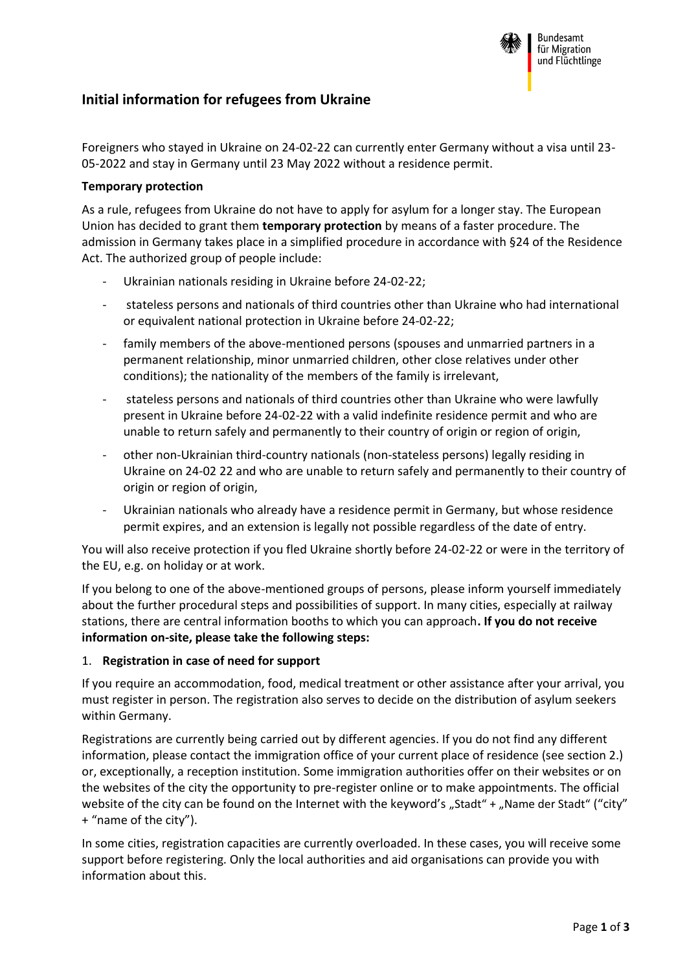

# **Initial information for refugees from Ukraine**

Foreigners who stayed in Ukraine on 24-02-22 can currently enter Germany without a visa until 23- 05-2022 and stay in Germany until 23 May 2022 without a residence permit.

### **Temporary protection**

As a rule, refugees from Ukraine do not have to apply for asylum for a longer stay. The European Union has decided to grant them **temporary protection** by means of a faster procedure. The admission in Germany takes place in a simplified procedure in accordance with §24 of the Residence Act. The authorized group of people include:

- Ukrainian nationals residing in Ukraine before 24-02-22;
- stateless persons and nationals of third countries other than Ukraine who had international or equivalent national protection in Ukraine before 24-02-22;
- family members of the above-mentioned persons (spouses and unmarried partners in a permanent relationship, minor unmarried children, other close relatives under other conditions); the nationality of the members of the family is irrelevant,
- stateless persons and nationals of third countries other than Ukraine who were lawfully present in Ukraine before 24-02-22 with a valid indefinite residence permit and who are unable to return safely and permanently to their country of origin or region of origin,
- other non-Ukrainian third-country nationals (non-stateless persons) legally residing in Ukraine on 24-02 22 and who are unable to return safely and permanently to their country of origin or region of origin,
- Ukrainian nationals who already have a residence permit in Germany, but whose residence permit expires, and an extension is legally not possible regardless of the date of entry.

You will also receive protection if you fled Ukraine shortly before 24-02-22 or were in the territory of the EU, e.g. on holiday or at work.

If you belong to one of the above-mentioned groups of persons, please inform yourself immediately about the further procedural steps and possibilities of support. In many cities, especially at railway stations, there are central information booths to which you can approach**. If you do not receive information on-site, please take the following steps:**

#### 1. **Registration in case of need for support**

If you require an accommodation, food, medical treatment or other assistance after your arrival, you must register in person. The registration also serves to decide on the distribution of asylum seekers within Germany.

Registrations are currently being carried out by different agencies. If you do not find any different information, please contact the immigration office of your current place of residence (see section 2.) or, exceptionally, a reception institution. Some immigration authorities offer on their websites or on the websites of the city the opportunity to pre-register online or to make appointments. The official website of the city can be found on the Internet with the keyword's "Stadt" + "Name der Stadt" ("city" + "name of the city").

In some cities, registration capacities are currently overloaded. In these cases, you will receive some support before registering. Only the local authorities and aid organisations can provide you with information about this.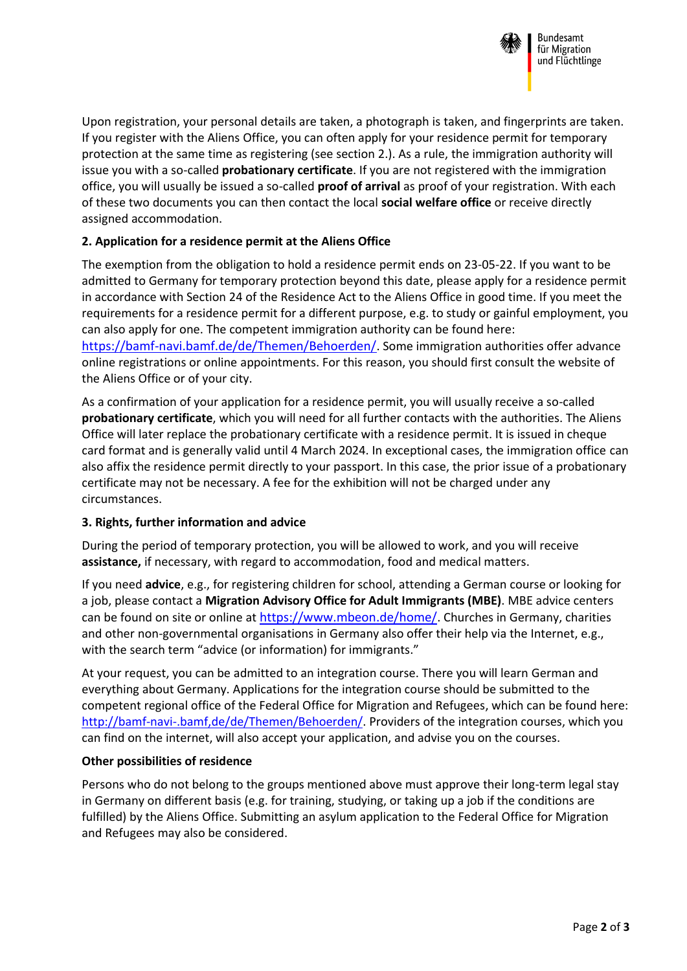

Bundesamt für Migration und Flüchtlinge

Upon registration, your personal details are taken, a photograph is taken, and fingerprints are taken. If you register with the Aliens Office, you can often apply for your residence permit for temporary protection at the same time as registering (see section 2.). As a rule, the immigration authority will issue you with a so-called **probationary certificate**. If you are not registered with the immigration office, you will usually be issued a so-called **proof of arrival** as proof of your registration. With each of these two documents you can then contact the local **social welfare office** or receive directly assigned accommodation.

## **2. Application for a residence permit at the Aliens Office**

The exemption from the obligation to hold a residence permit ends on 23-05-22. If you want to be admitted to Germany for temporary protection beyond this date, please apply for a residence permit in accordance with Section 24 of the Residence Act to the Aliens Office in good time. If you meet the requirements for a residence permit for a different purpose, e.g. to study or gainful employment, you can also apply for one. The competent immigration authority can be found here: [https://bamf-navi.bamf.de/de/Themen/Behoerden/](https://bamfnavi.bamf.de/de/Themen/Behoerden/). Some immigration authorities offer advance online registrations or online appointments. For this reason, you should first consult the website of the Aliens Office or of your city.

As a confirmation of your application for a residence permit, you will usually receive a so-called **probationary certificate**, which you will need for all further contacts with the authorities. The Aliens Office will later replace the probationary certificate with a residence permit. It is issued in cheque card format and is generally valid until 4 March 2024. In exceptional cases, the immigration office can also affix the residence permit directly to your passport. In this case, the prior issue of a probationary certificate may not be necessary. A fee for the exhibition will not be charged under any circumstances.

### **3. Rights, further information and advice**

During the period of temporary protection, you will be allowed to work, and you will receive **assistance,** if necessary, with regard to accommodation, food and medical matters.

If you need **advice**, e.g., for registering children for school, attending a German course or looking for a job, please contact a **Migration Advisory Office for Adult Immigrants (MBE)**. MBE advice centers can be found on site or online at <https://www.mbeon.de/home/>. Churches in Germany, charities and other non-governmental organisations in Germany also offer their help via the Internet, e.g., with the search term "advice (or information) for immigrants."

At your request, you can be admitted to an integration course. There you will learn German and everything about Germany. Applications for the integration course should be submitted to the competent regional office of the Federal Office for Migration and Refugees, which can be found here: [http://bamf-navi-.bamf,de/de/Themen/Behoerden/.](http://bamf-navi-.bamf,de/de/Themen/Behoerden/) Providers of the integration courses, which you can find on the internet, will also accept your application, and advise you on the courses.

### **Other possibilities of residence**

Persons who do not belong to the groups mentioned above must approve their long-term legal stay in Germany on different basis (e.g. for training, studying, or taking up a job if the conditions are fulfilled) by the Aliens Office. Submitting an asylum application to the Federal Office for Migration and Refugees may also be considered.